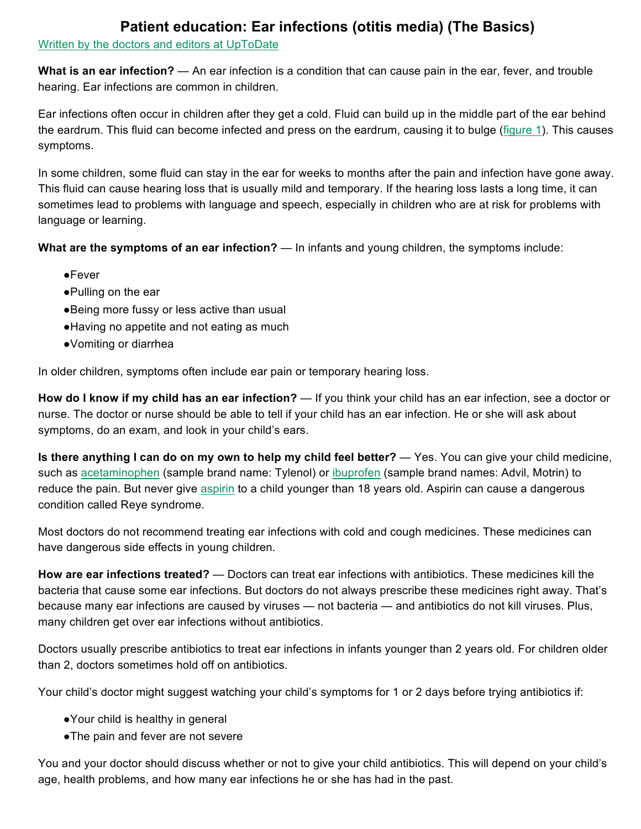## **Patient education: Ear infections (otitis media) (The Basics)**

## Written by the doctors and editors at UpToDate

**What is an ear infection?** — An ear infection is a condition that can cause pain in the ear, fever, and trouble hearing. Ear infections are common in children.

Ear infections often occur in children after they get a cold. Fluid can build up in the middle part of the ear behind the eardrum. This fluid can become infected and press on the eardrum, causing it to bulge (figure 1). This causes symptoms.

In some children, some fluid can stay in the ear for weeks to months after the pain and infection have gone away. This fluid can cause hearing loss that is usually mild and temporary. If the hearing loss lasts a long time, it can sometimes lead to problems with language and speech, especially in children who are at risk for problems with language or learning.

**What are the symptoms of an ear infection?** — In infants and young children, the symptoms include:

- ●Fever
- ●Pulling on the ear
- ●Being more fussy or less active than usual
- ●Having no appetite and not eating as much
- ●Vomiting or diarrhea

In older children, symptoms often include ear pain or temporary hearing loss.

**How do I know if my child has an ear infection?** — If you think your child has an ear infection, see a doctor or nurse. The doctor or nurse should be able to tell if your child has an ear infection. He or she will ask about symptoms, do an exam, and look in your child's ears.

**Is there anything I can do on my own to help my child feel better?** — Yes. You can give your child medicine, such as acetaminophen (sample brand name: Tylenol) or ibuprofen (sample brand names: Advil, Motrin) to reduce the pain. But never give aspirin to a child younger than 18 years old. Aspirin can cause a dangerous condition called Reye syndrome.

Most doctors do not recommend treating ear infections with cold and cough medicines. These medicines can have dangerous side effects in young children.

**How are ear infections treated?** — Doctors can treat ear infections with antibiotics. These medicines kill the bacteria that cause some ear infections. But doctors do not always prescribe these medicines right away. That's because many ear infections are caused by viruses — not bacteria — and antibiotics do not kill viruses. Plus, many children get over ear infections without antibiotics.

Doctors usually prescribe antibiotics to treat ear infections in infants younger than 2 years old. For children older than 2, doctors sometimes hold off on antibiotics.

Your child's doctor might suggest watching your child's symptoms for 1 or 2 days before trying antibiotics if:

- ●Your child is healthy in general
- ●The pain and fever are not severe

You and your doctor should discuss whether or not to give your child antibiotics. This will depend on your child's age, health problems, and how many ear infections he or she has had in the past.